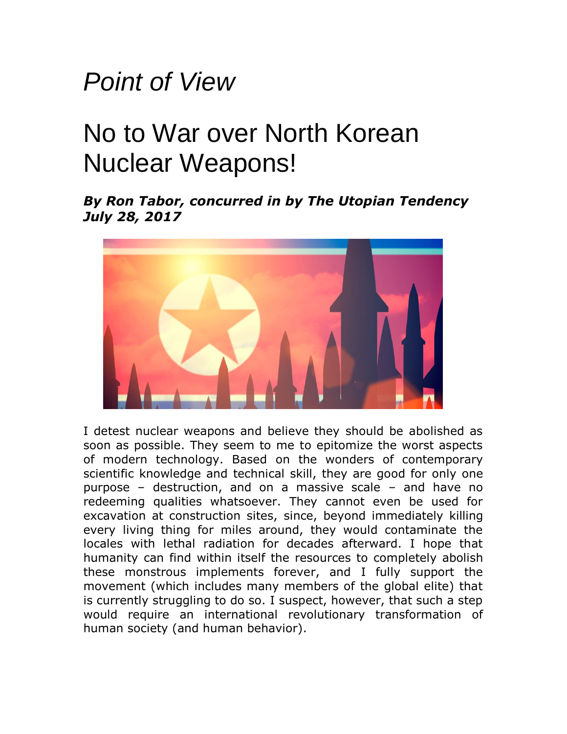## *Point of View*

## No to War over North Korean Nuclear Weapons!

*By Ron Tabor, concurred in by The Utopian Tendency July 28, 2017*



I detest nuclear weapons and believe they should be abolished as soon as possible. They seem to me to epitomize the worst aspects of modern technology. Based on the wonders of contemporary scientific knowledge and technical skill, they are good for only one purpose – destruction, and on a massive scale – and have no redeeming qualities whatsoever. They cannot even be used for excavation at construction sites, since, beyond immediately killing every living thing for miles around, they would contaminate the locales with lethal radiation for decades afterward. I hope that humanity can find within itself the resources to completely abolish these monstrous implements forever, and I fully support the movement (which includes many members of the global elite) that is currently struggling to do so. I suspect, however, that such a step would require an international revolutionary transformation of human society (and human behavior).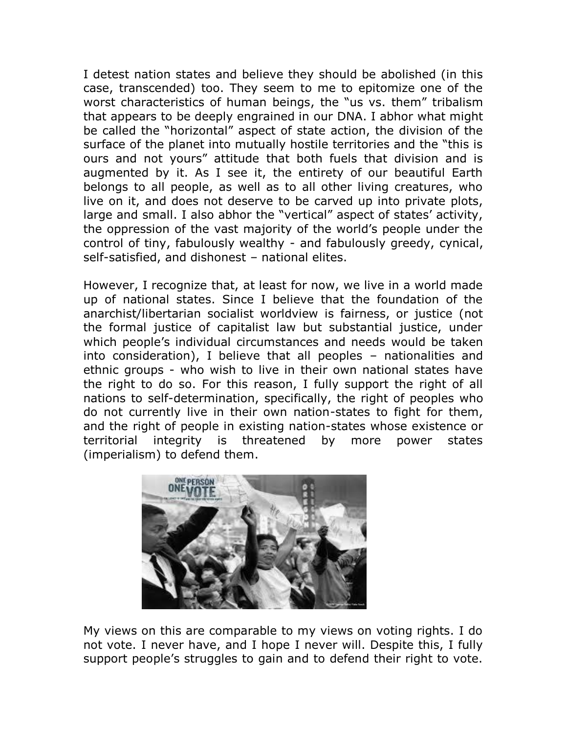I detest nation states and believe they should be abolished (in this case, transcended) too. They seem to me to epitomize one of the worst characteristics of human beings, the "us vs. them" tribalism that appears to be deeply engrained in our DNA. I abhor what might be called the "horizontal" aspect of state action, the division of the surface of the planet into mutually hostile territories and the "this is ours and not yours" attitude that both fuels that division and is augmented by it. As I see it, the entirety of our beautiful Earth belongs to all people, as well as to all other living creatures, who live on it, and does not deserve to be carved up into private plots, large and small. I also abhor the "vertical" aspect of states' activity, the oppression of the vast majority of the world's people under the control of tiny, fabulously wealthy - and fabulously greedy, cynical, self-satisfied, and dishonest – national elites.

However, I recognize that, at least for now, we live in a world made up of national states. Since I believe that the foundation of the anarchist/libertarian socialist worldview is fairness, or justice (not the formal justice of capitalist law but substantial justice, under which people's individual circumstances and needs would be taken into consideration), I believe that all peoples – nationalities and ethnic groups - who wish to live in their own national states have the right to do so. For this reason, I fully support the right of all nations to self-determination, specifically, the right of peoples who do not currently live in their own nation-states to fight for them, and the right of people in existing nation-states whose existence or territorial integrity is threatened by more power states (imperialism) to defend them.



My views on this are comparable to my views on voting rights. I do not vote. I never have, and I hope I never will. Despite this, I fully support people's struggles to gain and to defend their right to vote.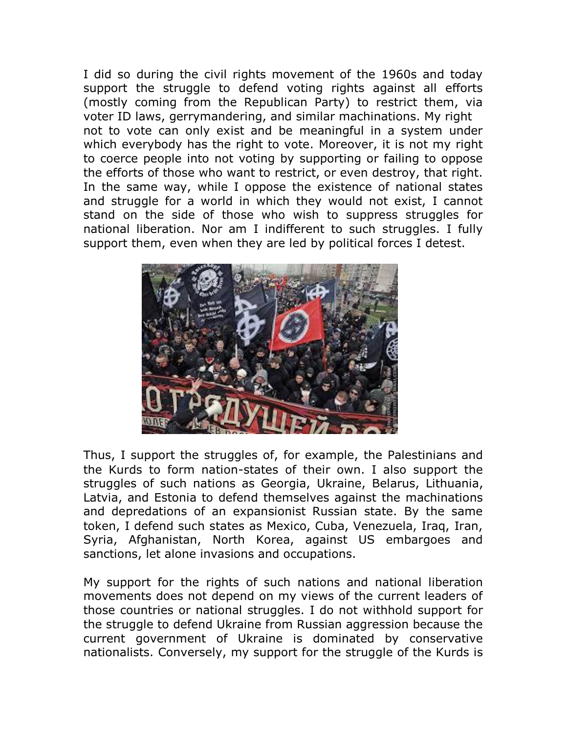I did so during the civil rights movement of the 1960s and today support the struggle to defend voting rights against all efforts (mostly coming from the Republican Party) to restrict them, via voter ID laws, gerrymandering, and similar machinations. My right not to vote can only exist and be meaningful in a system under which everybody has the right to vote. Moreover, it is not my right to coerce people into not voting by supporting or failing to oppose the efforts of those who want to restrict, or even destroy, that right. In the same way, while I oppose the existence of national states and struggle for a world in which they would not exist, I cannot stand on the side of those who wish to suppress struggles for national liberation. Nor am I indifferent to such struggles. I fully support them, even when they are led by political forces I detest.



Thus, I support the struggles of, for example, the Palestinians and the Kurds to form nation-states of their own. I also support the struggles of such nations as Georgia, Ukraine, Belarus, Lithuania, Latvia, and Estonia to defend themselves against the machinations and depredations of an expansionist Russian state. By the same token, I defend such states as Mexico, Cuba, Venezuela, Iraq, Iran, Syria, Afghanistan, North Korea, against US embargoes and sanctions, let alone invasions and occupations.

My support for the rights of such nations and national liberation movements does not depend on my views of the current leaders of those countries or national struggles. I do not withhold support for the struggle to defend Ukraine from Russian aggression because the current government of Ukraine is dominated by conservative nationalists. Conversely, my support for the struggle of the Kurds is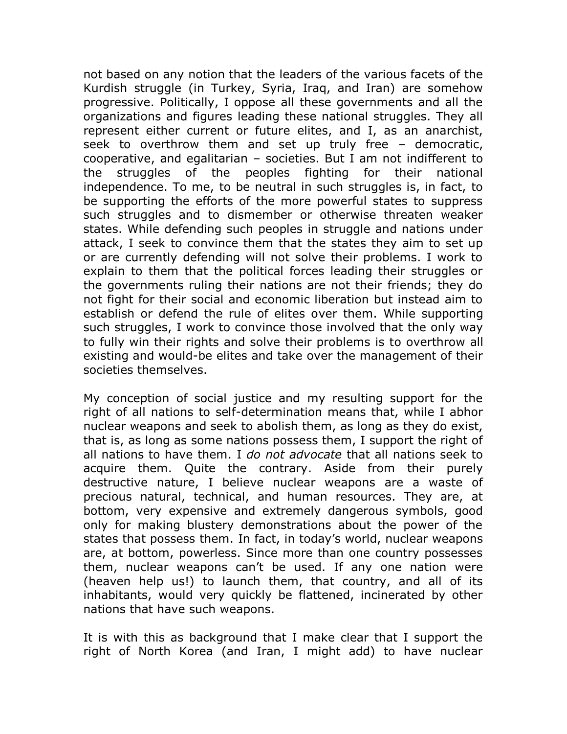not based on any notion that the leaders of the various facets of the Kurdish struggle (in Turkey, Syria, Iraq, and Iran) are somehow progressive. Politically, I oppose all these governments and all the organizations and figures leading these national struggles. They all represent either current or future elites, and I, as an anarchist, seek to overthrow them and set up truly free – democratic, cooperative, and egalitarian – societies. But I am not indifferent to the struggles of the peoples fighting for their national independence. To me, to be neutral in such struggles is, in fact, to be supporting the efforts of the more powerful states to suppress such struggles and to dismember or otherwise threaten weaker states. While defending such peoples in struggle and nations under attack, I seek to convince them that the states they aim to set up or are currently defending will not solve their problems. I work to explain to them that the political forces leading their struggles or the governments ruling their nations are not their friends; they do not fight for their social and economic liberation but instead aim to establish or defend the rule of elites over them. While supporting such struggles, I work to convince those involved that the only way to fully win their rights and solve their problems is to overthrow all existing and would-be elites and take over the management of their societies themselves.

My conception of social justice and my resulting support for the right of all nations to self-determination means that, while I abhor nuclear weapons and seek to abolish them, as long as they do exist, that is, as long as some nations possess them, I support the right of all nations to have them. I *do not advocate* that all nations seek to acquire them. Quite the contrary. Aside from their purely destructive nature, I believe nuclear weapons are a waste of precious natural, technical, and human resources. They are, at bottom, very expensive and extremely dangerous symbols, good only for making blustery demonstrations about the power of the states that possess them. In fact, in today's world, nuclear weapons are, at bottom, powerless. Since more than one country possesses them, nuclear weapons can't be used. If any one nation were (heaven help us!) to launch them, that country, and all of its inhabitants, would very quickly be flattened, incinerated by other nations that have such weapons.

It is with this as background that I make clear that I support the right of North Korea (and Iran, I might add) to have nuclear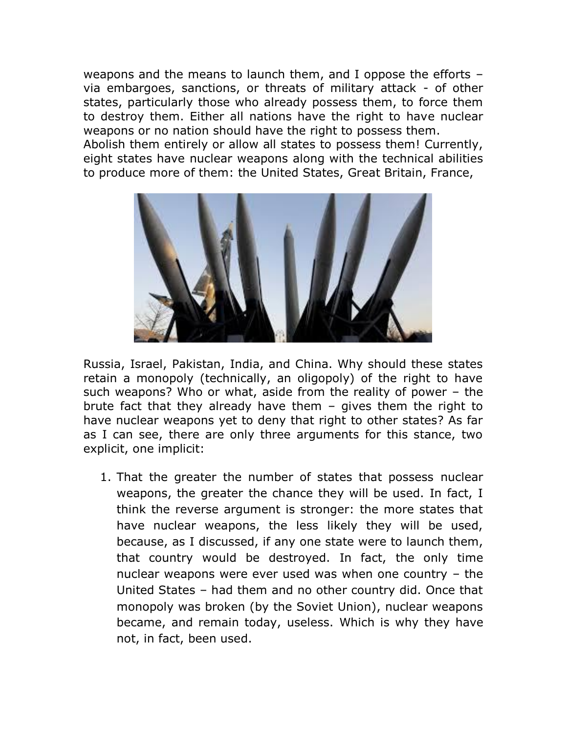weapons and the means to launch them, and I oppose the efforts – via embargoes, sanctions, or threats of military attack - of other states, particularly those who already possess them, to force them to destroy them. Either all nations have the right to have nuclear weapons or no nation should have the right to possess them. Abolish them entirely or allow all states to possess them! Currently, eight states have nuclear weapons along with the technical abilities to produce more of them: the United States, Great Britain, France,



Russia, Israel, Pakistan, India, and China. Why should these states retain a monopoly (technically, an oligopoly) of the right to have such weapons? Who or what, aside from the reality of power – the brute fact that they already have them – gives them the right to have nuclear weapons yet to deny that right to other states? As far as I can see, there are only three arguments for this stance, two explicit, one implicit:

1. That the greater the number of states that possess nuclear weapons, the greater the chance they will be used. In fact, I think the reverse argument is stronger: the more states that have nuclear weapons, the less likely they will be used, because, as I discussed, if any one state were to launch them, that country would be destroyed. In fact, the only time nuclear weapons were ever used was when one country – the United States – had them and no other country did. Once that monopoly was broken (by the Soviet Union), nuclear weapons became, and remain today, useless. Which is why they have not, in fact, been used.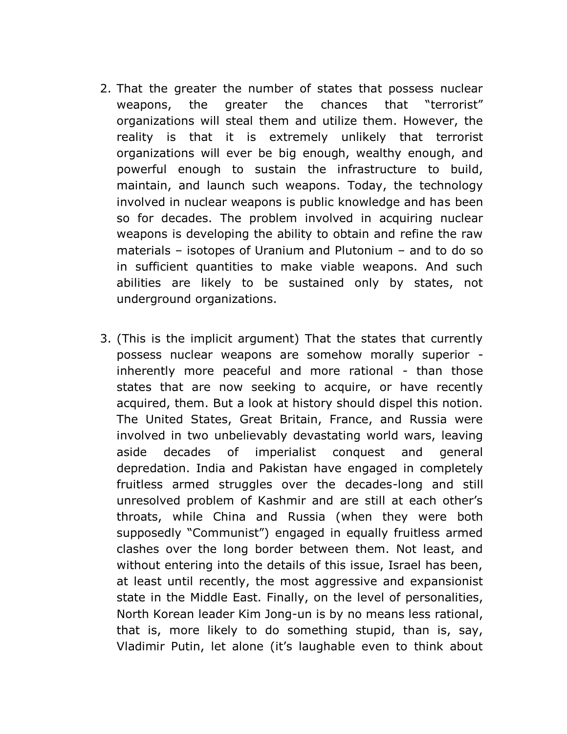- 2. That the greater the number of states that possess nuclear weapons, the greater the chances that "terrorist" organizations will steal them and utilize them. However, the reality is that it is extremely unlikely that terrorist organizations will ever be big enough, wealthy enough, and powerful enough to sustain the infrastructure to build, maintain, and launch such weapons. Today, the technology involved in nuclear weapons is public knowledge and has been so for decades. The problem involved in acquiring nuclear weapons is developing the ability to obtain and refine the raw materials – isotopes of Uranium and Plutonium – and to do so in sufficient quantities to make viable weapons. And such abilities are likely to be sustained only by states, not underground organizations.
- 3. (This is the implicit argument) That the states that currently possess nuclear weapons are somehow morally superior inherently more peaceful and more rational - than those states that are now seeking to acquire, or have recently acquired, them. But a look at history should dispel this notion. The United States, Great Britain, France, and Russia were involved in two unbelievably devastating world wars, leaving aside decades of imperialist conquest and general depredation. India and Pakistan have engaged in completely fruitless armed struggles over the decades-long and still unresolved problem of Kashmir and are still at each other's throats, while China and Russia (when they were both supposedly "Communist") engaged in equally fruitless armed clashes over the long border between them. Not least, and without entering into the details of this issue, Israel has been, at least until recently, the most aggressive and expansionist state in the Middle East. Finally, on the level of personalities, North Korean leader Kim Jong-un is by no means less rational, that is, more likely to do something stupid, than is, say, Vladimir Putin, let alone (it's laughable even to think about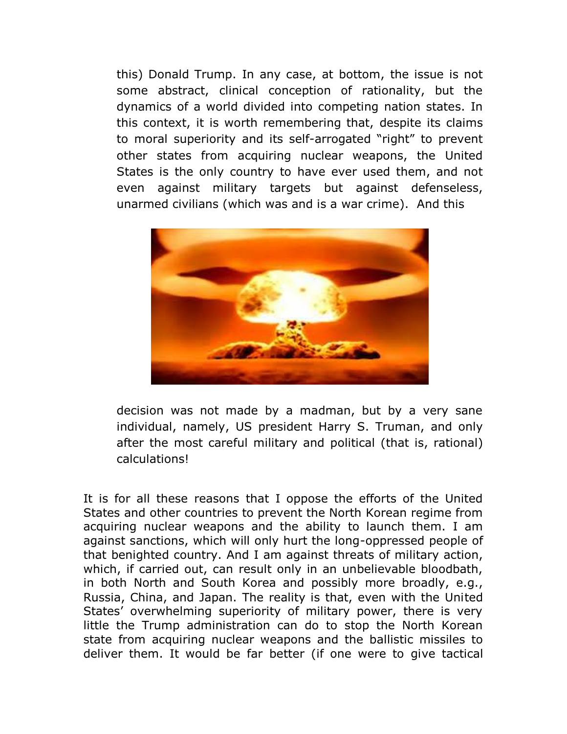this) Donald Trump. In any case, at bottom, the issue is not some abstract, clinical conception of rationality, but the dynamics of a world divided into competing nation states. In this context, it is worth remembering that, despite its claims to moral superiority and its self-arrogated "right" to prevent other states from acquiring nuclear weapons, the United States is the only country to have ever used them, and not even against military targets but against defenseless, unarmed civilians (which was and is a war crime). And this



decision was not made by a madman, but by a very sane individual, namely, US president Harry S. Truman, and only after the most careful military and political (that is, rational) calculations!

It is for all these reasons that I oppose the efforts of the United States and other countries to prevent the North Korean regime from acquiring nuclear weapons and the ability to launch them. I am against sanctions, which will only hurt the long-oppressed people of that benighted country. And I am against threats of military action, which, if carried out, can result only in an unbelievable bloodbath, in both North and South Korea and possibly more broadly, e.g., Russia, China, and Japan. The reality is that, even with the United States' overwhelming superiority of military power, there is very little the Trump administration can do to stop the North Korean state from acquiring nuclear weapons and the ballistic missiles to deliver them. It would be far better (if one were to give tactical